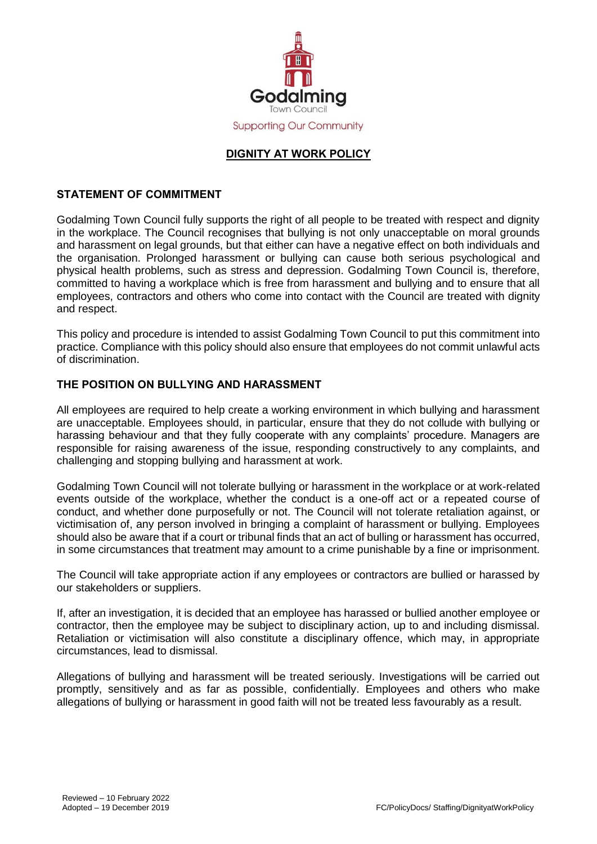

# **DIGNITY AT WORK POLICY**

### **STATEMENT OF COMMITMENT**

Godalming Town Council fully supports the right of all people to be treated with respect and dignity in the workplace. The Council recognises that bullying is not only unacceptable on moral grounds and harassment on legal grounds, but that either can have a negative effect on both individuals and the organisation. Prolonged harassment or bullying can cause both serious psychological and physical health problems, such as stress and depression. Godalming Town Council is, therefore, committed to having a workplace which is free from harassment and bullying and to ensure that all employees, contractors and others who come into contact with the Council are treated with dignity and respect.

This policy and procedure is intended to assist Godalming Town Council to put this commitment into practice. Compliance with this policy should also ensure that employees do not commit unlawful acts of discrimination.

### **THE POSITION ON BULLYING AND HARASSMENT**

All employees are required to help create a working environment in which bullying and harassment are unacceptable. Employees should, in particular, ensure that they do not collude with bullying or harassing behaviour and that they fully cooperate with any complaints' procedure. Managers are responsible for raising awareness of the issue, responding constructively to any complaints, and challenging and stopping bullying and harassment at work.

Godalming Town Council will not tolerate bullying or harassment in the workplace or at work-related events outside of the workplace, whether the conduct is a one-off act or a repeated course of conduct, and whether done purposefully or not. The Council will not tolerate retaliation against, or victimisation of, any person involved in bringing a complaint of harassment or bullying. Employees should also be aware that if a court or tribunal finds that an act of bulling or harassment has occurred, in some circumstances that treatment may amount to a crime punishable by a fine or imprisonment.

The Council will take appropriate action if any employees or contractors are bullied or harassed by our stakeholders or suppliers.

If, after an investigation, it is decided that an employee has harassed or bullied another employee or contractor, then the employee may be subject to disciplinary action, up to and including dismissal. Retaliation or victimisation will also constitute a disciplinary offence, which may, in appropriate circumstances, lead to dismissal.

Allegations of bullying and harassment will be treated seriously. Investigations will be carried out promptly, sensitively and as far as possible, confidentially. Employees and others who make allegations of bullying or harassment in good faith will not be treated less favourably as a result.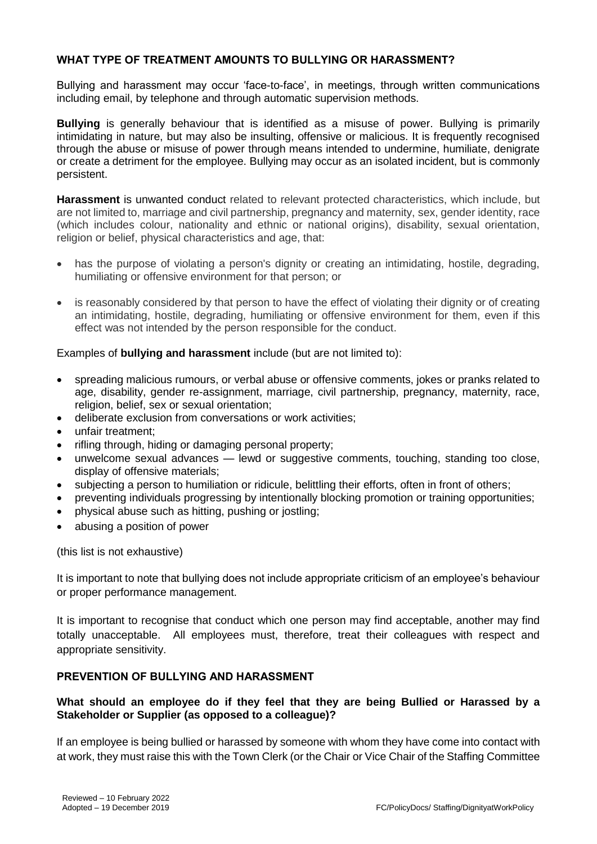### **WHAT TYPE OF TREATMENT AMOUNTS TO BULLYING OR HARASSMENT?**

Bullying and harassment may occur 'face-to-face', in meetings, through written communications including email, by telephone and through automatic supervision methods.

**Bullying** is generally behaviour that is identified as a misuse of power. Bullying is primarily intimidating in nature, but may also be insulting, offensive or malicious. It is frequently recognised through the abuse or misuse of power through means intended to undermine, humiliate, denigrate or create a detriment for the employee. Bullying may occur as an isolated incident, but is commonly persistent.

**Harassment** is unwanted conduct related to relevant protected characteristics, which include, but are not limited to, marriage and civil partnership, pregnancy and maternity, sex, gender identity, race (which includes colour, nationality and ethnic or national origins), disability, sexual orientation, religion or belief, physical characteristics and age, that:

- has the purpose of violating a person's dignity or creating an intimidating, hostile, degrading, humiliating or offensive environment for that person; or
- is reasonably considered by that person to have the effect of violating their dignity or of creating an intimidating, hostile, degrading, humiliating or offensive environment for them, even if this effect was not intended by the person responsible for the conduct.

#### Examples of **bullying and harassment** include (but are not limited to):

- spreading malicious rumours, or verbal abuse or offensive comments, jokes or pranks related to age, disability, gender re-assignment, marriage, civil partnership, pregnancy, maternity, race, religion, belief, sex or sexual orientation;
- deliberate exclusion from conversations or work activities;
- unfair treatment;
- rifling through, hiding or damaging personal property;
- unwelcome sexual advances lewd or suggestive comments, touching, standing too close, display of offensive materials;
- subjecting a person to humiliation or ridicule, belittling their efforts, often in front of others;
- preventing individuals progressing by intentionally blocking promotion or training opportunities;
- physical abuse such as hitting, pushing or jostling;
- abusing a position of power

(this list is not exhaustive)

It is important to note that bullying does not include appropriate criticism of an employee's behaviour or proper performance management.

It is important to recognise that conduct which one person may find acceptable, another may find totally unacceptable. All employees must, therefore, treat their colleagues with respect and appropriate sensitivity.

#### **PREVENTION OF BULLYING AND HARASSMENT**

### **What should an employee do if they feel that they are being Bullied or Harassed by a Stakeholder or Supplier (as opposed to a colleague)?**

If an employee is being bullied or harassed by someone with whom they have come into contact with at work, they must raise this with the Town Clerk (or the Chair or Vice Chair of the Staffing Committee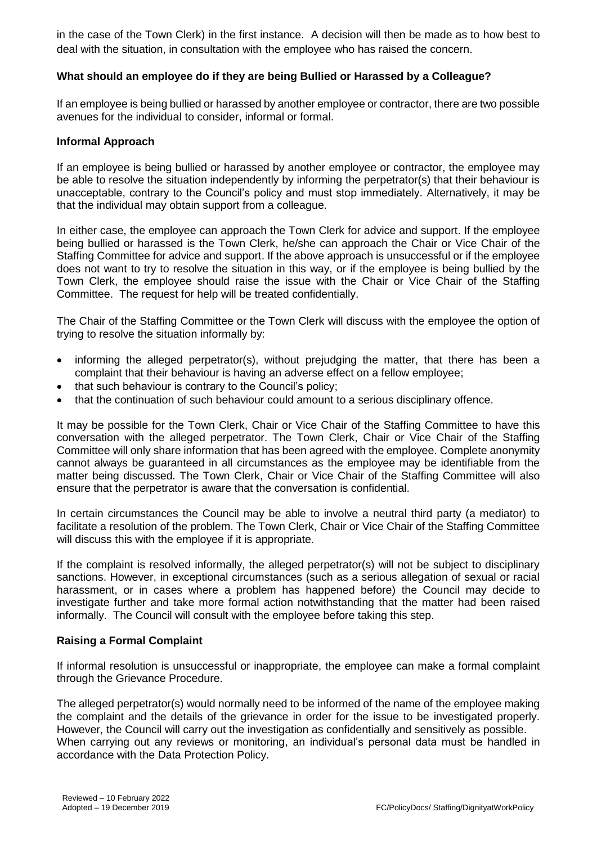in the case of the Town Clerk) in the first instance. A decision will then be made as to how best to deal with the situation, in consultation with the employee who has raised the concern.

### **What should an employee do if they are being Bullied or Harassed by a Colleague?**

If an employee is being bullied or harassed by another employee or contractor, there are two possible avenues for the individual to consider, informal or formal.

#### **Informal Approach**

If an employee is being bullied or harassed by another employee or contractor, the employee may be able to resolve the situation independently by informing the perpetrator(s) that their behaviour is unacceptable, contrary to the Council's policy and must stop immediately. Alternatively, it may be that the individual may obtain support from a colleague.

In either case, the employee can approach the Town Clerk for advice and support. If the employee being bullied or harassed is the Town Clerk, he/she can approach the Chair or Vice Chair of the Staffing Committee for advice and support. If the above approach is unsuccessful or if the employee does not want to try to resolve the situation in this way, or if the employee is being bullied by the Town Clerk, the employee should raise the issue with the Chair or Vice Chair of the Staffing Committee. The request for help will be treated confidentially.

The Chair of the Staffing Committee or the Town Clerk will discuss with the employee the option of trying to resolve the situation informally by:

- informing the alleged perpetrator(s), without prejudging the matter, that there has been a complaint that their behaviour is having an adverse effect on a fellow employee;
- that such behaviour is contrary to the Council's policy;
- that the continuation of such behaviour could amount to a serious disciplinary offence.

It may be possible for the Town Clerk, Chair or Vice Chair of the Staffing Committee to have this conversation with the alleged perpetrator. The Town Clerk, Chair or Vice Chair of the Staffing Committee will only share information that has been agreed with the employee. Complete anonymity cannot always be guaranteed in all circumstances as the employee may be identifiable from the matter being discussed. The Town Clerk, Chair or Vice Chair of the Staffing Committee will also ensure that the perpetrator is aware that the conversation is confidential.

In certain circumstances the Council may be able to involve a neutral third party (a mediator) to facilitate a resolution of the problem. The Town Clerk, Chair or Vice Chair of the Staffing Committee will discuss this with the employee if it is appropriate.

If the complaint is resolved informally, the alleged perpetrator(s) will not be subject to disciplinary sanctions. However, in exceptional circumstances (such as a serious allegation of sexual or racial harassment, or in cases where a problem has happened before) the Council may decide to investigate further and take more formal action notwithstanding that the matter had been raised informally. The Council will consult with the employee before taking this step.

#### **Raising a Formal Complaint**

If informal resolution is unsuccessful or inappropriate, the employee can make a formal complaint through the Grievance Procedure.

The alleged perpetrator(s) would normally need to be informed of the name of the employee making the complaint and the details of the grievance in order for the issue to be investigated properly. However, the Council will carry out the investigation as confidentially and sensitively as possible. When carrying out any reviews or monitoring, an individual's personal data must be handled in accordance with the Data Protection Policy.